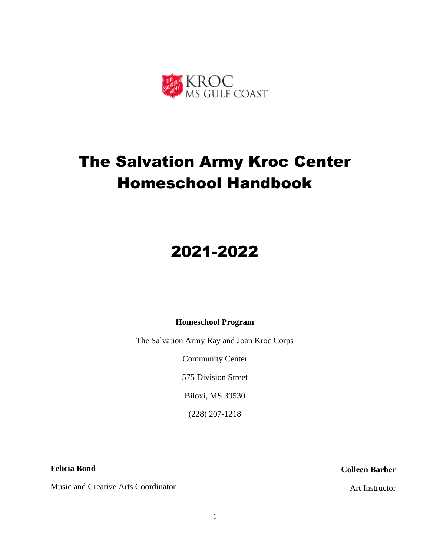

# The Salvation Army Kroc Center Homeschool Handbook

# 2021-2022

## **Homeschool Program**

The Salvation Army Ray and Joan Kroc Corps

Community Center

575 Division Street

Biloxi, MS 39530

(228) 207-1218

**Felicia Bond**

Music and Creative Arts Coordinator

## **Colleen Barber**

Art Instructor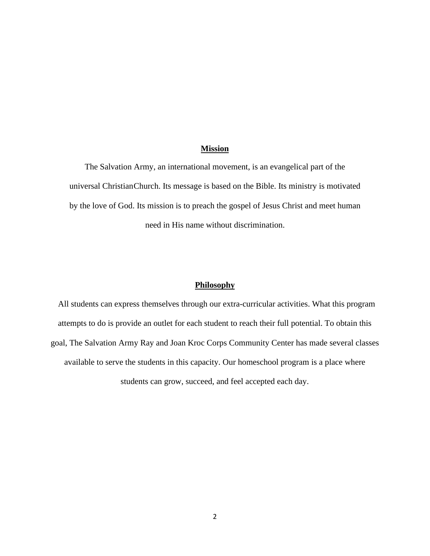#### **Mission**

The Salvation Army, an international movement, is an evangelical part of the universal ChristianChurch. Its message is based on the Bible. Its ministry is motivated by the love of God. Its mission is to preach the gospel of Jesus Christ and meet human need in His name without discrimination.

#### **Philosophy**

All students can express themselves through our extra-curricular activities. What this program attempts to do is provide an outlet for each student to reach their full potential. To obtain this goal, The Salvation Army Ray and Joan Kroc Corps Community Center has made several classes available to serve the students in this capacity. Our homeschool program is a place where students can grow, succeed, and feel accepted each day.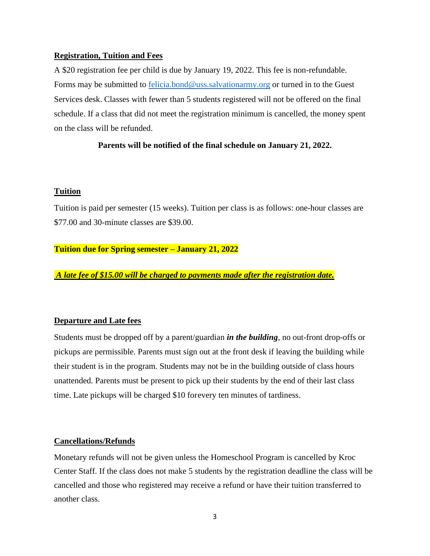### **Registration, Tuition and Fees**

A \$20 registration fee per child is due by January 19, 2022. This fee is non-refundable. Forms may be submitted to [felicia.bond@uss.salvationarmy.org](mailto:felicia.bond@uss.salvationarmy.org) or turned in to the Guest Services desk. Classes with fewer than 5 students registered will not be offered on the final schedule. If a class that did not meet the registration minimum is cancelled, the money spent on the class will be refunded.

## **Parents will be notified of the final schedule on January 21, 2022.**

#### **Tuition**

Tuition is paid per semester (15 weeks). Tuition per class is as follows: one-hour classes are \$77.00 and 30-minute classes are \$39.00.

#### **Tuition due for Spring semester – January 21, 2022**

*A late fee of \$15.00 will be charged to payments made after the registration date.*

## **Departure and Late fees**

Students must be dropped off by a parent/guardian *in the building*, no out-front drop-offs or pickups are permissible. Parents must sign out at the front desk if leaving the building while their student is in the program. Students may not be in the building outside of class hours unattended. Parents must be present to pick up their students by the end of their last class time. Late pickups will be charged \$10 forevery ten minutes of tardiness.

#### **Cancellations/Refunds**

Monetary refunds will not be given unless the Homeschool Program is cancelled by Kroc Center Staff. If the class does not make 5 students by the registration deadline the class will be cancelled and those who registered may receive a refund or have their tuition transferred to another class.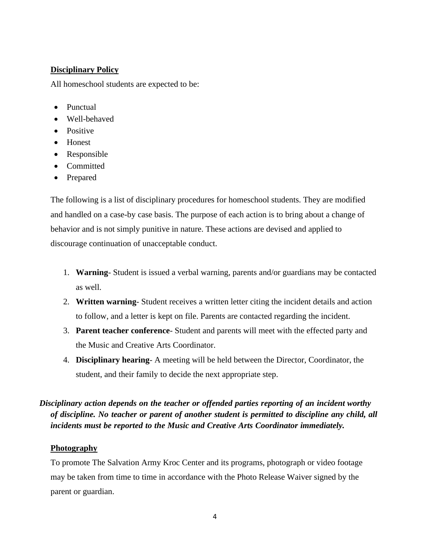## **Disciplinary Policy**

All homeschool students are expected to be:

- Punctual
- Well-behaved
- Positive
- Honest
- Responsible
- Committed
- Prepared

The following is a list of disciplinary procedures for homeschool students. They are modified and handled on a case-by case basis. The purpose of each action is to bring about a change of behavior and is not simply punitive in nature. These actions are devised and applied to discourage continuation of unacceptable conduct.

- 1. **Warning** Student is issued a verbal warning, parents and/or guardians may be contacted as well.
- 2. **Written warning** Student receives a written letter citing the incident details and action to follow, and a letter is kept on file. Parents are contacted regarding the incident.
- 3. **Parent teacher conference** Student and parents will meet with the effected party and the Music and Creative Arts Coordinator.
- 4. **Disciplinary hearing** A meeting will be held between the Director, Coordinator, the student, and their family to decide the next appropriate step.

## *Disciplinary action depends on the teacher or offended parties reporting of an incident worthy of discipline. No teacher or parent of another student is permitted to discipline any child, all incidents must be reported to the Music and Creative Arts Coordinator immediately.*

## **Photography**

To promote The Salvation Army Kroc Center and its programs, photograph or video footage may be taken from time to time in accordance with the Photo Release Waiver signed by the parent or guardian.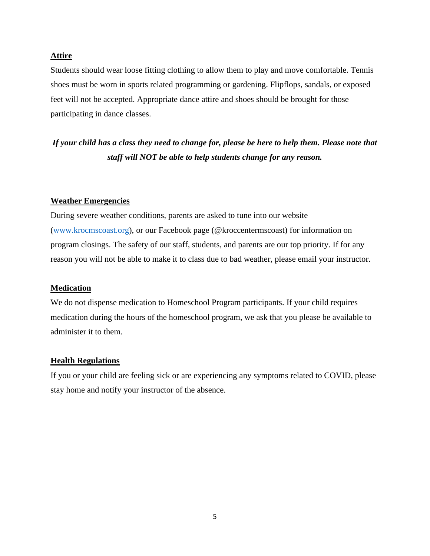#### **Attire**

Students should wear loose fitting clothing to allow them to play and move comfortable. Tennis shoes must be worn in sports related programming or gardening. Flipflops, sandals, or exposed feet will not be accepted. Appropriate dance attire and shoes should be brought for those participating in dance classes.

## *If your child has a class they need to change for, please be here to help them. Please note that staff will NOT be able to help students change for any reason.*

## **Weather Emergencies**

During severe weather conditions, parents are asked to tune into our website [\(www.krocmscoast.org\)](http://www.krocmscoast.org/), or our Facebook page (@kroccentermscoast) for information on program closings. The safety of our staff, students, and parents are our top priority. If for any reason you will not be able to make it to class due to bad weather, please email your instructor.

#### **Medication**

We do not dispense medication to Homeschool Program participants. If your child requires medication during the hours of the homeschool program, we ask that you please be available to administer it to them.

#### **Health Regulations**

If you or your child are feeling sick or are experiencing any symptoms related to COVID, please stay home and notify your instructor of the absence.